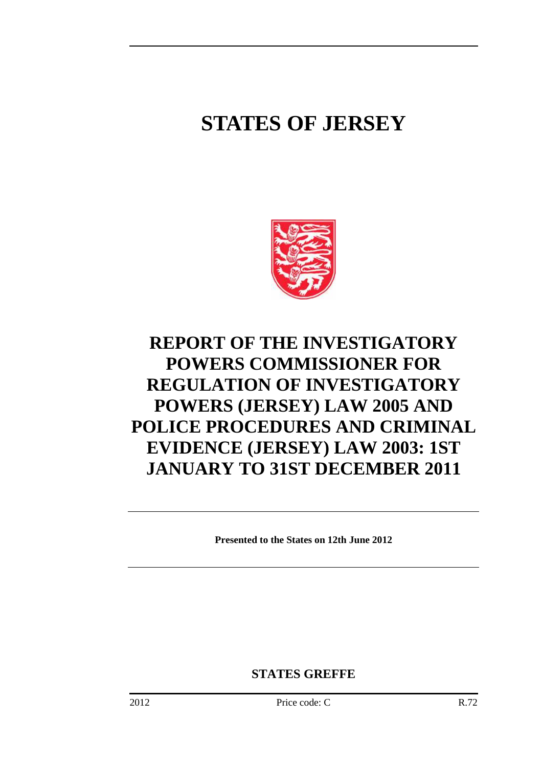# **STATES OF JERSEY**



# **REPORT OF THE INVESTIGATORY POWERS COMMISSIONER FOR REGULATION OF INVESTIGATORY POWERS (JERSEY) LAW 2005 AND POLICE PROCEDURES AND CRIMINAL EVIDENCE (JERSEY) LAW 2003: 1ST JANUARY TO 31ST DECEMBER 2011**

**Presented to the States on 12th June 2012** 

**STATES GREFFE**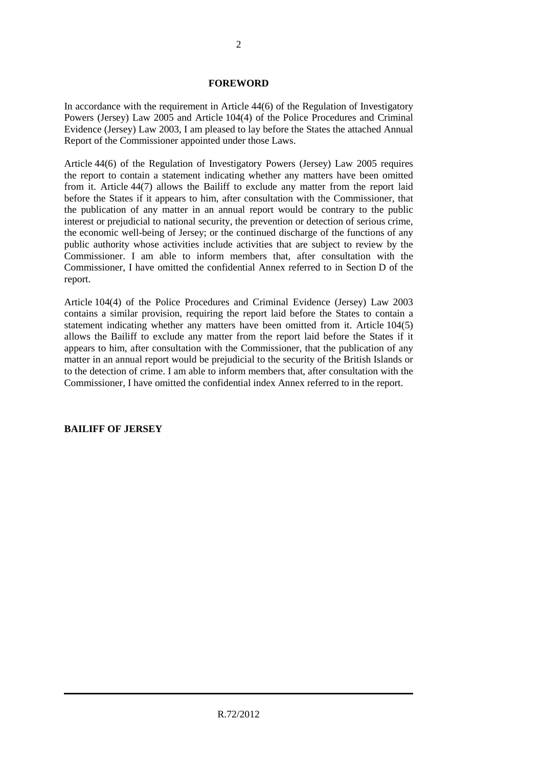#### **FOREWORD**

In accordance with the requirement in Article 44(6) of the Regulation of Investigatory Powers (Jersey) Law 2005 and Article 104(4) of the Police Procedures and Criminal Evidence (Jersey) Law 2003, I am pleased to lay before the States the attached Annual Report of the Commissioner appointed under those Laws.

Article 44(6) of the Regulation of Investigatory Powers (Jersey) Law 2005 requires the report to contain a statement indicating whether any matters have been omitted from it. Article 44(7) allows the Bailiff to exclude any matter from the report laid before the States if it appears to him, after consultation with the Commissioner, that the publication of any matter in an annual report would be contrary to the public interest or prejudicial to national security, the prevention or detection of serious crime, the economic well-being of Jersey; or the continued discharge of the functions of any public authority whose activities include activities that are subject to review by the Commissioner. I am able to inform members that, after consultation with the Commissioner, I have omitted the confidential Annex referred to in Section D of the report.

Article 104(4) of the Police Procedures and Criminal Evidence (Jersey) Law 2003 contains a similar provision, requiring the report laid before the States to contain a statement indicating whether any matters have been omitted from it. Article 104(5) allows the Bailiff to exclude any matter from the report laid before the States if it appears to him, after consultation with the Commissioner, that the publication of any matter in an annual report would be prejudicial to the security of the British Islands or to the detection of crime. I am able to inform members that, after consultation with the Commissioner, I have omitted the confidential index Annex referred to in the report.

# **BAILIFF OF JERSEY**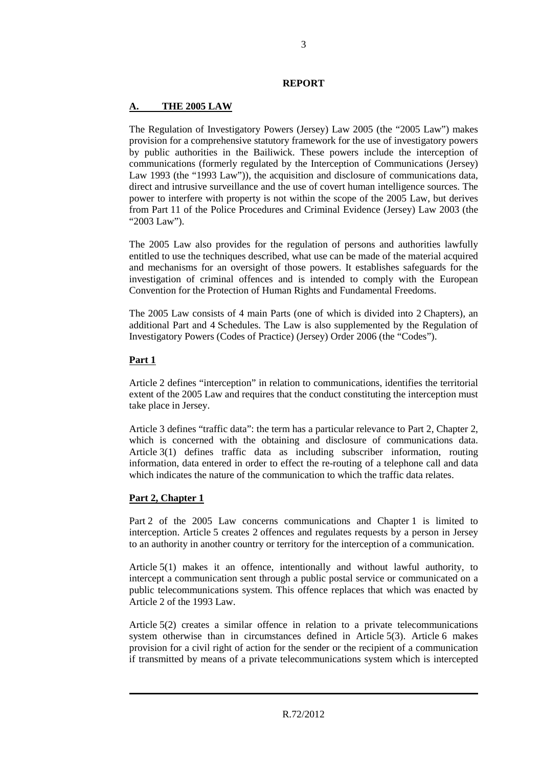#### **REPORT**

#### **A. THE 2005 LAW**

The Regulation of Investigatory Powers (Jersey) Law 2005 (the "2005 Law") makes provision for a comprehensive statutory framework for the use of investigatory powers by public authorities in the Bailiwick. These powers include the interception of communications (formerly regulated by the Interception of Communications (Jersey) Law 1993 (the "1993 Law")), the acquisition and disclosure of communications data, direct and intrusive surveillance and the use of covert human intelligence sources. The power to interfere with property is not within the scope of the 2005 Law, but derives from Part 11 of the Police Procedures and Criminal Evidence (Jersey) Law 2003 (the "2003 Law").

The 2005 Law also provides for the regulation of persons and authorities lawfully entitled to use the techniques described, what use can be made of the material acquired and mechanisms for an oversight of those powers. It establishes safeguards for the investigation of criminal offences and is intended to comply with the European Convention for the Protection of Human Rights and Fundamental Freedoms.

The 2005 Law consists of 4 main Parts (one of which is divided into 2 Chapters), an additional Part and 4 Schedules. The Law is also supplemented by the Regulation of Investigatory Powers (Codes of Practice) (Jersey) Order 2006 (the "Codes").

#### **Part 1**

Article 2 defines "interception" in relation to communications, identifies the territorial extent of the 2005 Law and requires that the conduct constituting the interception must take place in Jersey.

Article 3 defines "traffic data": the term has a particular relevance to Part 2, Chapter 2, which is concerned with the obtaining and disclosure of communications data. Article 3(1) defines traffic data as including subscriber information, routing information, data entered in order to effect the re-routing of a telephone call and data which indicates the nature of the communication to which the traffic data relates.

# **Part 2, Chapter 1**

Part 2 of the 2005 Law concerns communications and Chapter 1 is limited to interception. Article 5 creates 2 offences and regulates requests by a person in Jersey to an authority in another country or territory for the interception of a communication.

Article 5(1) makes it an offence, intentionally and without lawful authority, to intercept a communication sent through a public postal service or communicated on a public telecommunications system. This offence replaces that which was enacted by Article 2 of the 1993 Law.

Article 5(2) creates a similar offence in relation to a private telecommunications system otherwise than in circumstances defined in Article 5(3). Article 6 makes provision for a civil right of action for the sender or the recipient of a communication if transmitted by means of a private telecommunications system which is intercepted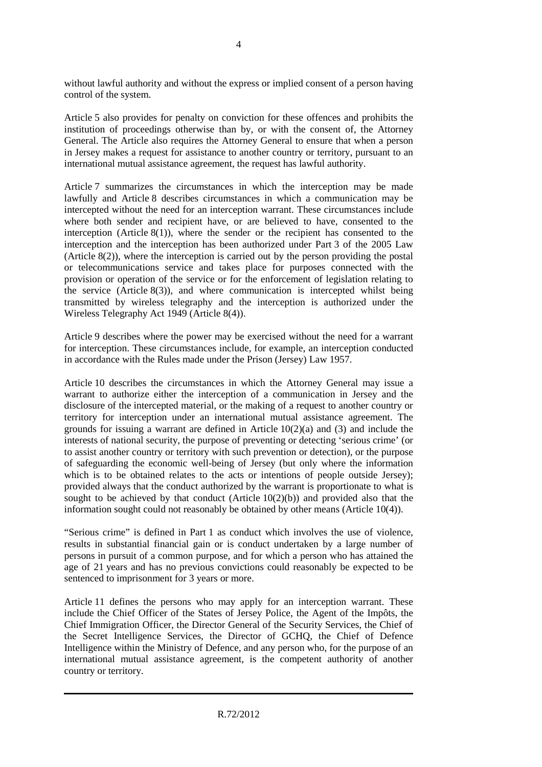without lawful authority and without the express or implied consent of a person having control of the system.

Article 5 also provides for penalty on conviction for these offences and prohibits the institution of proceedings otherwise than by, or with the consent of, the Attorney General. The Article also requires the Attorney General to ensure that when a person in Jersey makes a request for assistance to another country or territory, pursuant to an international mutual assistance agreement, the request has lawful authority.

Article 7 summarizes the circumstances in which the interception may be made lawfully and Article 8 describes circumstances in which a communication may be intercepted without the need for an interception warrant. These circumstances include where both sender and recipient have, or are believed to have, consented to the interception (Article  $8(1)$ ), where the sender or the recipient has consented to the interception and the interception has been authorized under Part 3 of the 2005 Law (Article  $8(2)$ ), where the interception is carried out by the person providing the postal or telecommunications service and takes place for purposes connected with the provision or operation of the service or for the enforcement of legislation relating to the service (Article  $8(3)$ ), and where communication is intercepted whilst being transmitted by wireless telegraphy and the interception is authorized under the Wireless Telegraphy Act 1949 (Article 8(4)).

Article 9 describes where the power may be exercised without the need for a warrant for interception. These circumstances include, for example, an interception conducted in accordance with the Rules made under the Prison (Jersey) Law 1957.

Article 10 describes the circumstances in which the Attorney General may issue a warrant to authorize either the interception of a communication in Jersey and the disclosure of the intercepted material, or the making of a request to another country or territory for interception under an international mutual assistance agreement. The grounds for issuing a warrant are defined in Article  $10(2)(a)$  and  $(3)$  and include the interests of national security, the purpose of preventing or detecting 'serious crime' (or to assist another country or territory with such prevention or detection), or the purpose of safeguarding the economic well-being of Jersey (but only where the information which is to be obtained relates to the acts or intentions of people outside Jersey); provided always that the conduct authorized by the warrant is proportionate to what is sought to be achieved by that conduct (Article  $10(2)(b)$ ) and provided also that the information sought could not reasonably be obtained by other means (Article 10(4)).

"Serious crime" is defined in Part 1 as conduct which involves the use of violence, results in substantial financial gain or is conduct undertaken by a large number of persons in pursuit of a common purpose, and for which a person who has attained the age of 21 years and has no previous convictions could reasonably be expected to be sentenced to imprisonment for 3 years or more.

Article 11 defines the persons who may apply for an interception warrant. These include the Chief Officer of the States of Jersey Police, the Agent of the Impôts, the Chief Immigration Officer, the Director General of the Security Services, the Chief of the Secret Intelligence Services, the Director of GCHQ, the Chief of Defence Intelligence within the Ministry of Defence, and any person who, for the purpose of an international mutual assistance agreement, is the competent authority of another country or territory.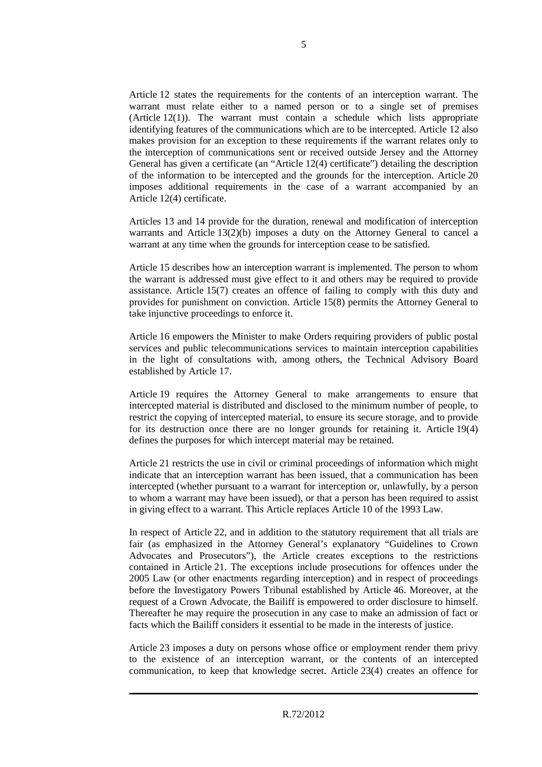Article 12 states the requirements for the contents of an interception warrant. The warrant must relate either to a named person or to a single set of premises (Article 12(1)). The warrant must contain a schedule which lists appropriate identifying features of the communications which are to be intercepted. Article 12 also makes provision for an exception to these requirements if the warrant relates only to the interception of communications sent or received outside Jersey and the Attorney General has given a certificate (an "Article 12(4) certificate") detailing the description of the information to be intercepted and the grounds for the interception. Article 20 imposes additional requirements in the case of a warrant accompanied by an Article 12(4) certificate.

Articles 13 and 14 provide for the duration, renewal and modification of interception warrants and Article 13(2)(b) imposes a duty on the Attorney General to cancel a warrant at any time when the grounds for interception cease to be satisfied.

Article 15 describes how an interception warrant is implemented. The person to whom the warrant is addressed must give effect to it and others may be required to provide assistance. Article 15(7) creates an offence of failing to comply with this duty and provides for punishment on conviction. Article 15(8) permits the Attorney General to take injunctive proceedings to enforce it.

Article 16 empowers the Minister to make Orders requiring providers of public postal services and public telecommunications services to maintain interception capabilities in the light of consultations with, among others, the Technical Advisory Board established by Article 17.

Article 19 requires the Attorney General to make arrangements to ensure that intercepted material is distributed and disclosed to the minimum number of people, to restrict the copying of intercepted material, to ensure its secure storage, and to provide for its destruction once there are no longer grounds for retaining it. Article 19(4) defines the purposes for which intercept material may be retained.

Article 21 restricts the use in civil or criminal proceedings of information which might indicate that an interception warrant has been issued, that a communication has been intercepted (whether pursuant to a warrant for interception or, unlawfully, by a person to whom a warrant may have been issued), or that a person has been required to assist in giving effect to a warrant. This Article replaces Article 10 of the 1993 Law.

In respect of Article 22, and in addition to the statutory requirement that all trials are fair (as emphasized in the Attorney General's explanatory "Guidelines to Crown Advocates and Prosecutors"), the Article creates exceptions to the restrictions contained in Article 21. The exceptions include prosecutions for offences under the 2005 Law (or other enactments regarding interception) and in respect of proceedings before the Investigatory Powers Tribunal established by Article 46. Moreover, at the request of a Crown Advocate, the Bailiff is empowered to order disclosure to himself. Thereafter he may require the prosecution in any case to make an admission of fact or facts which the Bailiff considers it essential to be made in the interests of justice.

Article 23 imposes a duty on persons whose office or employment render them privy to the existence of an interception warrant, or the contents of an intercepted communication, to keep that knowledge secret. Article 23(4) creates an offence for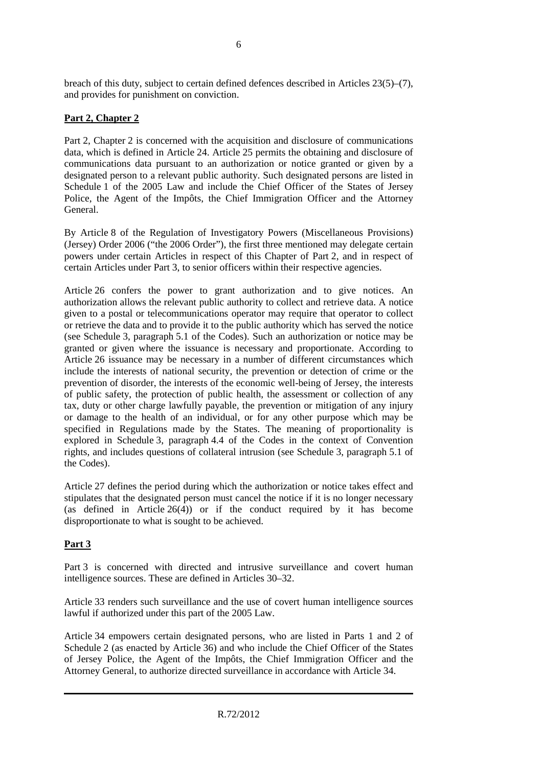breach of this duty, subject to certain defined defences described in Articles 23(5)–(7), and provides for punishment on conviction.

# **Part 2, Chapter 2**

Part 2, Chapter 2 is concerned with the acquisition and disclosure of communications data, which is defined in Article 24. Article 25 permits the obtaining and disclosure of communications data pursuant to an authorization or notice granted or given by a designated person to a relevant public authority. Such designated persons are listed in Schedule 1 of the 2005 Law and include the Chief Officer of the States of Jersey Police, the Agent of the Impôts, the Chief Immigration Officer and the Attorney General.

By Article 8 of the Regulation of Investigatory Powers (Miscellaneous Provisions) (Jersey) Order 2006 ("the 2006 Order"), the first three mentioned may delegate certain powers under certain Articles in respect of this Chapter of Part 2, and in respect of certain Articles under Part 3, to senior officers within their respective agencies.

Article 26 confers the power to grant authorization and to give notices. An authorization allows the relevant public authority to collect and retrieve data. A notice given to a postal or telecommunications operator may require that operator to collect or retrieve the data and to provide it to the public authority which has served the notice (see Schedule 3, paragraph 5.1 of the Codes). Such an authorization or notice may be granted or given where the issuance is necessary and proportionate. According to Article 26 issuance may be necessary in a number of different circumstances which include the interests of national security, the prevention or detection of crime or the prevention of disorder, the interests of the economic well-being of Jersey, the interests of public safety, the protection of public health, the assessment or collection of any tax, duty or other charge lawfully payable, the prevention or mitigation of any injury or damage to the health of an individual, or for any other purpose which may be specified in Regulations made by the States. The meaning of proportionality is explored in Schedule 3, paragraph 4.4 of the Codes in the context of Convention rights, and includes questions of collateral intrusion (see Schedule 3, paragraph 5.1 of the Codes).

Article 27 defines the period during which the authorization or notice takes effect and stipulates that the designated person must cancel the notice if it is no longer necessary (as defined in Article 26(4)) or if the conduct required by it has become disproportionate to what is sought to be achieved.

# **Part 3**

Part 3 is concerned with directed and intrusive surveillance and covert human intelligence sources. These are defined in Articles 30–32.

Article 33 renders such surveillance and the use of covert human intelligence sources lawful if authorized under this part of the 2005 Law.

Article 34 empowers certain designated persons, who are listed in Parts 1 and 2 of Schedule 2 (as enacted by Article 36) and who include the Chief Officer of the States of Jersey Police, the Agent of the Impôts, the Chief Immigration Officer and the Attorney General, to authorize directed surveillance in accordance with Article 34.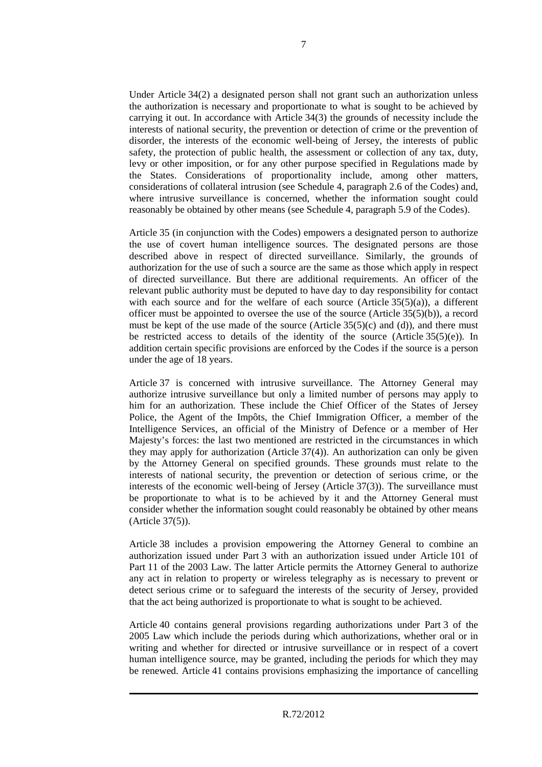Under Article 34(2) a designated person shall not grant such an authorization unless the authorization is necessary and proportionate to what is sought to be achieved by carrying it out. In accordance with Article 34(3) the grounds of necessity include the interests of national security, the prevention or detection of crime or the prevention of disorder, the interests of the economic well-being of Jersey, the interests of public safety, the protection of public health, the assessment or collection of any tax, duty, levy or other imposition, or for any other purpose specified in Regulations made by the States. Considerations of proportionality include, among other matters, considerations of collateral intrusion (see Schedule 4, paragraph 2.6 of the Codes) and, where intrusive surveillance is concerned, whether the information sought could reasonably be obtained by other means (see Schedule 4, paragraph 5.9 of the Codes).

Article 35 (in conjunction with the Codes) empowers a designated person to authorize the use of covert human intelligence sources. The designated persons are those described above in respect of directed surveillance. Similarly, the grounds of authorization for the use of such a source are the same as those which apply in respect of directed surveillance. But there are additional requirements. An officer of the relevant public authority must be deputed to have day to day responsibility for contact with each source and for the welfare of each source (Article  $35(5)(a)$ ), a different officer must be appointed to oversee the use of the source (Article 35(5)(b)), a record must be kept of the use made of the source (Article  $35(5)(c)$  and (d)), and there must be restricted access to details of the identity of the source (Article  $35(5)(e)$ ). In addition certain specific provisions are enforced by the Codes if the source is a person under the age of 18 years.

Article 37 is concerned with intrusive surveillance. The Attorney General may authorize intrusive surveillance but only a limited number of persons may apply to him for an authorization. These include the Chief Officer of the States of Jersey Police, the Agent of the Impôts, the Chief Immigration Officer, a member of the Intelligence Services, an official of the Ministry of Defence or a member of Her Majesty's forces: the last two mentioned are restricted in the circumstances in which they may apply for authorization (Article 37(4)). An authorization can only be given by the Attorney General on specified grounds. These grounds must relate to the interests of national security, the prevention or detection of serious crime, or the interests of the economic well-being of Jersey (Article 37(3)). The surveillance must be proportionate to what is to be achieved by it and the Attorney General must consider whether the information sought could reasonably be obtained by other means (Article 37(5)).

Article 38 includes a provision empowering the Attorney General to combine an authorization issued under Part 3 with an authorization issued under Article 101 of Part 11 of the 2003 Law. The latter Article permits the Attorney General to authorize any act in relation to property or wireless telegraphy as is necessary to prevent or detect serious crime or to safeguard the interests of the security of Jersey, provided that the act being authorized is proportionate to what is sought to be achieved.

Article 40 contains general provisions regarding authorizations under Part 3 of the 2005 Law which include the periods during which authorizations, whether oral or in writing and whether for directed or intrusive surveillance or in respect of a covert human intelligence source, may be granted, including the periods for which they may be renewed. Article 41 contains provisions emphasizing the importance of cancelling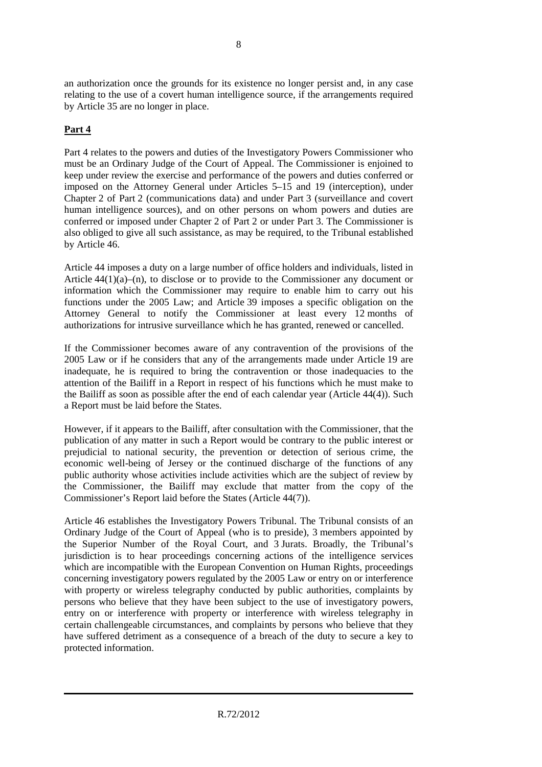an authorization once the grounds for its existence no longer persist and, in any case relating to the use of a covert human intelligence source, if the arrangements required by Article 35 are no longer in place.

# **Part 4**

Part 4 relates to the powers and duties of the Investigatory Powers Commissioner who must be an Ordinary Judge of the Court of Appeal. The Commissioner is enjoined to keep under review the exercise and performance of the powers and duties conferred or imposed on the Attorney General under Articles 5–15 and 19 (interception), under Chapter 2 of Part 2 (communications data) and under Part 3 (surveillance and covert human intelligence sources), and on other persons on whom powers and duties are conferred or imposed under Chapter 2 of Part 2 or under Part 3. The Commissioner is also obliged to give all such assistance, as may be required, to the Tribunal established by Article 46.

Article 44 imposes a duty on a large number of office holders and individuals, listed in Article  $44(1)(a)$ –(n), to disclose or to provide to the Commissioner any document or information which the Commissioner may require to enable him to carry out his functions under the 2005 Law; and Article 39 imposes a specific obligation on the Attorney General to notify the Commissioner at least every 12 months of authorizations for intrusive surveillance which he has granted, renewed or cancelled.

If the Commissioner becomes aware of any contravention of the provisions of the 2005 Law or if he considers that any of the arrangements made under Article 19 are inadequate, he is required to bring the contravention or those inadequacies to the attention of the Bailiff in a Report in respect of his functions which he must make to the Bailiff as soon as possible after the end of each calendar year (Article 44(4)). Such a Report must be laid before the States.

However, if it appears to the Bailiff, after consultation with the Commissioner, that the publication of any matter in such a Report would be contrary to the public interest or prejudicial to national security, the prevention or detection of serious crime, the economic well-being of Jersey or the continued discharge of the functions of any public authority whose activities include activities which are the subject of review by the Commissioner, the Bailiff may exclude that matter from the copy of the Commissioner's Report laid before the States (Article 44(7)).

Article 46 establishes the Investigatory Powers Tribunal. The Tribunal consists of an Ordinary Judge of the Court of Appeal (who is to preside), 3 members appointed by the Superior Number of the Royal Court, and 3 Jurats. Broadly, the Tribunal's jurisdiction is to hear proceedings concerning actions of the intelligence services which are incompatible with the European Convention on Human Rights, proceedings concerning investigatory powers regulated by the 2005 Law or entry on or interference with property or wireless telegraphy conducted by public authorities, complaints by persons who believe that they have been subject to the use of investigatory powers, entry on or interference with property or interference with wireless telegraphy in certain challengeable circumstances, and complaints by persons who believe that they have suffered detriment as a consequence of a breach of the duty to secure a key to protected information.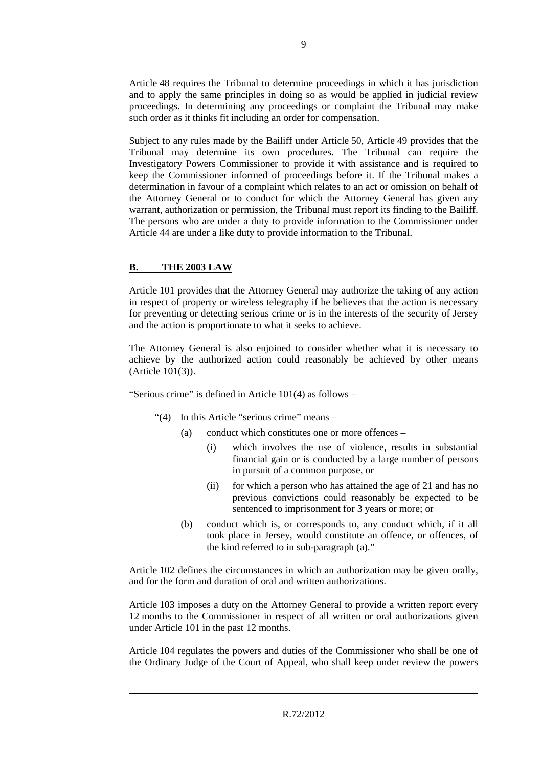Article 48 requires the Tribunal to determine proceedings in which it has jurisdiction and to apply the same principles in doing so as would be applied in judicial review proceedings. In determining any proceedings or complaint the Tribunal may make such order as it thinks fit including an order for compensation.

Subject to any rules made by the Bailiff under Article 50, Article 49 provides that the Tribunal may determine its own procedures. The Tribunal can require the Investigatory Powers Commissioner to provide it with assistance and is required to keep the Commissioner informed of proceedings before it. If the Tribunal makes a determination in favour of a complaint which relates to an act or omission on behalf of the Attorney General or to conduct for which the Attorney General has given any warrant, authorization or permission, the Tribunal must report its finding to the Bailiff. The persons who are under a duty to provide information to the Commissioner under Article 44 are under a like duty to provide information to the Tribunal.

#### **B. THE 2003 LAW**

Article 101 provides that the Attorney General may authorize the taking of any action in respect of property or wireless telegraphy if he believes that the action is necessary for preventing or detecting serious crime or is in the interests of the security of Jersey and the action is proportionate to what it seeks to achieve.

The Attorney General is also enjoined to consider whether what it is necessary to achieve by the authorized action could reasonably be achieved by other means (Article 101(3)).

"Serious crime" is defined in Article 101(4) as follows –

- "(4) In this Article "serious crime" means
	- (a) conduct which constitutes one or more offences
		- (i) which involves the use of violence, results in substantial financial gain or is conducted by a large number of persons in pursuit of a common purpose, or
		- (ii) for which a person who has attained the age of 21 and has no previous convictions could reasonably be expected to be sentenced to imprisonment for 3 years or more; or
	- (b) conduct which is, or corresponds to, any conduct which, if it all took place in Jersey, would constitute an offence, or offences, of the kind referred to in sub-paragraph (a)."

Article 102 defines the circumstances in which an authorization may be given orally, and for the form and duration of oral and written authorizations.

Article 103 imposes a duty on the Attorney General to provide a written report every 12 months to the Commissioner in respect of all written or oral authorizations given under Article 101 in the past 12 months.

Article 104 regulates the powers and duties of the Commissioner who shall be one of the Ordinary Judge of the Court of Appeal, who shall keep under review the powers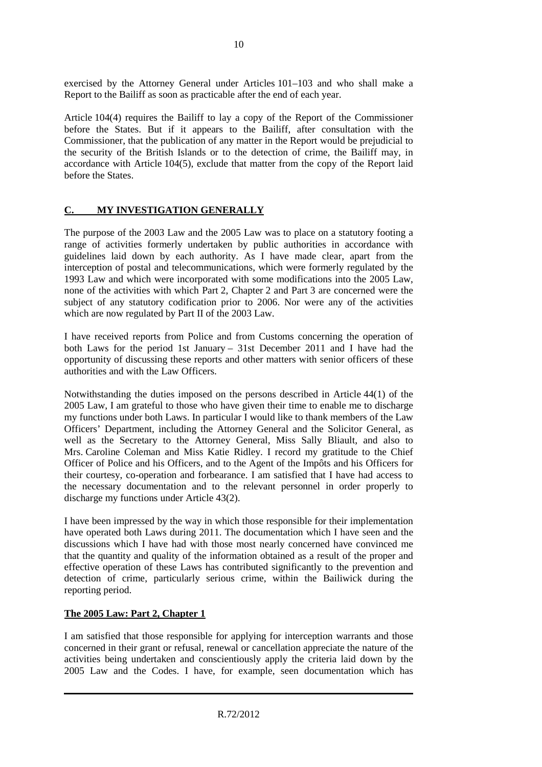exercised by the Attorney General under Articles 101–103 and who shall make a Report to the Bailiff as soon as practicable after the end of each year.

Article 104(4) requires the Bailiff to lay a copy of the Report of the Commissioner before the States. But if it appears to the Bailiff, after consultation with the Commissioner, that the publication of any matter in the Report would be prejudicial to the security of the British Islands or to the detection of crime, the Bailiff may, in accordance with Article 104(5), exclude that matter from the copy of the Report laid before the States.

# **C. MY INVESTIGATION GENERALLY**

The purpose of the 2003 Law and the 2005 Law was to place on a statutory footing a range of activities formerly undertaken by public authorities in accordance with guidelines laid down by each authority. As I have made clear, apart from the interception of postal and telecommunications, which were formerly regulated by the 1993 Law and which were incorporated with some modifications into the 2005 Law, none of the activities with which Part 2, Chapter 2 and Part 3 are concerned were the subject of any statutory codification prior to 2006. Nor were any of the activities which are now regulated by Part II of the 2003 Law.

I have received reports from Police and from Customs concerning the operation of both Laws for the period 1st January – 31st December 2011 and I have had the opportunity of discussing these reports and other matters with senior officers of these authorities and with the Law Officers.

Notwithstanding the duties imposed on the persons described in Article 44(1) of the 2005 Law, I am grateful to those who have given their time to enable me to discharge my functions under both Laws. In particular I would like to thank members of the Law Officers' Department, including the Attorney General and the Solicitor General, as well as the Secretary to the Attorney General, Miss Sally Bliault, and also to Mrs. Caroline Coleman and Miss Katie Ridley. I record my gratitude to the Chief Officer of Police and his Officers, and to the Agent of the Impôts and his Officers for their courtesy, co-operation and forbearance. I am satisfied that I have had access to the necessary documentation and to the relevant personnel in order properly to discharge my functions under Article 43(2).

I have been impressed by the way in which those responsible for their implementation have operated both Laws during 2011. The documentation which I have seen and the discussions which I have had with those most nearly concerned have convinced me that the quantity and quality of the information obtained as a result of the proper and effective operation of these Laws has contributed significantly to the prevention and detection of crime, particularly serious crime, within the Bailiwick during the reporting period.

# **The 2005 Law: Part 2, Chapter 1**

I am satisfied that those responsible for applying for interception warrants and those concerned in their grant or refusal, renewal or cancellation appreciate the nature of the activities being undertaken and conscientiously apply the criteria laid down by the 2005 Law and the Codes. I have, for example, seen documentation which has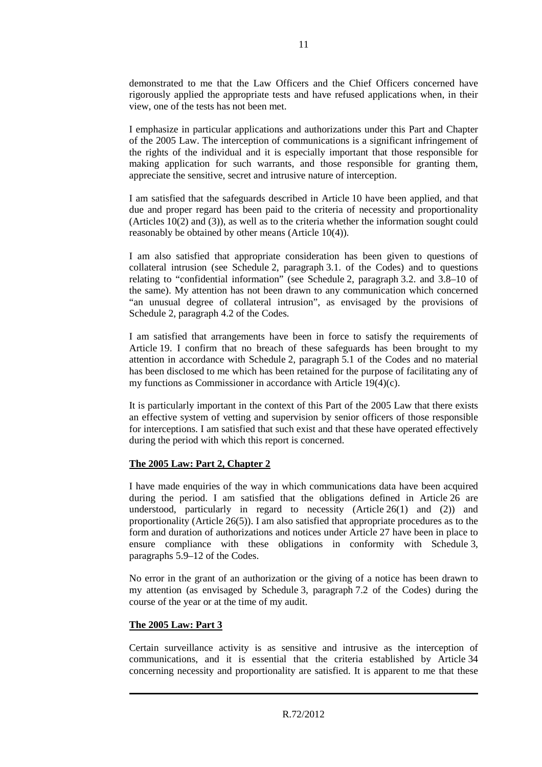demonstrated to me that the Law Officers and the Chief Officers concerned have rigorously applied the appropriate tests and have refused applications when, in their view, one of the tests has not been met.

I emphasize in particular applications and authorizations under this Part and Chapter of the 2005 Law. The interception of communications is a significant infringement of the rights of the individual and it is especially important that those responsible for making application for such warrants, and those responsible for granting them, appreciate the sensitive, secret and intrusive nature of interception.

I am satisfied that the safeguards described in Article 10 have been applied, and that due and proper regard has been paid to the criteria of necessity and proportionality (Articles 10(2) and (3)), as well as to the criteria whether the information sought could reasonably be obtained by other means (Article 10(4)).

I am also satisfied that appropriate consideration has been given to questions of collateral intrusion (see Schedule 2, paragraph 3.1. of the Codes) and to questions relating to "confidential information" (see Schedule 2, paragraph 3.2. and 3.8–10 of the same). My attention has not been drawn to any communication which concerned "an unusual degree of collateral intrusion", as envisaged by the provisions of Schedule 2, paragraph 4.2 of the Codes.

I am satisfied that arrangements have been in force to satisfy the requirements of Article 19. I confirm that no breach of these safeguards has been brought to my attention in accordance with Schedule 2, paragraph 5.1 of the Codes and no material has been disclosed to me which has been retained for the purpose of facilitating any of my functions as Commissioner in accordance with Article 19(4)(c).

It is particularly important in the context of this Part of the 2005 Law that there exists an effective system of vetting and supervision by senior officers of those responsible for interceptions. I am satisfied that such exist and that these have operated effectively during the period with which this report is concerned.

#### **The 2005 Law: Part 2, Chapter 2**

I have made enquiries of the way in which communications data have been acquired during the period. I am satisfied that the obligations defined in Article 26 are understood, particularly in regard to necessity (Article 26(1) and (2)) and proportionality (Article 26(5)). I am also satisfied that appropriate procedures as to the form and duration of authorizations and notices under Article 27 have been in place to ensure compliance with these obligations in conformity with Schedule 3, paragraphs 5.9–12 of the Codes.

No error in the grant of an authorization or the giving of a notice has been drawn to my attention (as envisaged by Schedule 3, paragraph 7.2 of the Codes) during the course of the year or at the time of my audit.

#### **The 2005 Law: Part 3**

Certain surveillance activity is as sensitive and intrusive as the interception of communications, and it is essential that the criteria established by Article 34 concerning necessity and proportionality are satisfied. It is apparent to me that these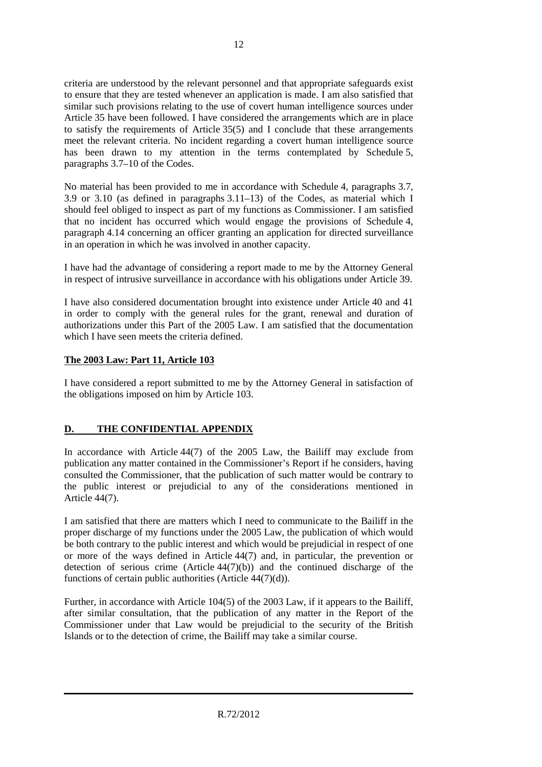criteria are understood by the relevant personnel and that appropriate safeguards exist to ensure that they are tested whenever an application is made. I am also satisfied that similar such provisions relating to the use of covert human intelligence sources under Article 35 have been followed. I have considered the arrangements which are in place to satisfy the requirements of Article 35(5) and I conclude that these arrangements meet the relevant criteria. No incident regarding a covert human intelligence source has been drawn to my attention in the terms contemplated by Schedule 5, paragraphs 3.7–10 of the Codes.

No material has been provided to me in accordance with Schedule 4, paragraphs 3.7, 3.9 or 3.10 (as defined in paragraphs 3.11–13) of the Codes, as material which I should feel obliged to inspect as part of my functions as Commissioner. I am satisfied that no incident has occurred which would engage the provisions of Schedule 4, paragraph 4.14 concerning an officer granting an application for directed surveillance in an operation in which he was involved in another capacity.

I have had the advantage of considering a report made to me by the Attorney General in respect of intrusive surveillance in accordance with his obligations under Article 39.

I have also considered documentation brought into existence under Article 40 and 41 in order to comply with the general rules for the grant, renewal and duration of authorizations under this Part of the 2005 Law. I am satisfied that the documentation which I have seen meets the criteria defined.

#### **The 2003 Law: Part 11, Article 103**

I have considered a report submitted to me by the Attorney General in satisfaction of the obligations imposed on him by Article 103.

# **D. THE CONFIDENTIAL APPENDIX**

In accordance with Article 44(7) of the 2005 Law, the Bailiff may exclude from publication any matter contained in the Commissioner's Report if he considers, having consulted the Commissioner, that the publication of such matter would be contrary to the public interest or prejudicial to any of the considerations mentioned in Article 44(7).

I am satisfied that there are matters which I need to communicate to the Bailiff in the proper discharge of my functions under the 2005 Law, the publication of which would be both contrary to the public interest and which would be prejudicial in respect of one or more of the ways defined in Article 44(7) and, in particular, the prevention or detection of serious crime  $(A$ rticle  $44(7)(b)$  and the continued discharge of the functions of certain public authorities (Article 44(7)(d)).

Further, in accordance with Article 104(5) of the 2003 Law, if it appears to the Bailiff, after similar consultation, that the publication of any matter in the Report of the Commissioner under that Law would be prejudicial to the security of the British Islands or to the detection of crime, the Bailiff may take a similar course.